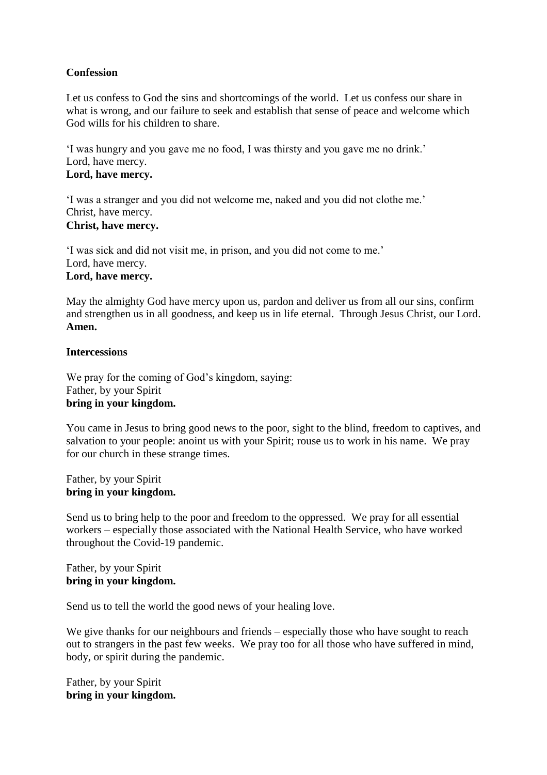## **Confession**

Let us confess to God the sins and shortcomings of the world. Let us confess our share in what is wrong, and our failure to seek and establish that sense of peace and welcome which God wills for his children to share.

'I was hungry and you gave me no food, I was thirsty and you gave me no drink.' Lord, have mercy. **Lord, have mercy.**

'I was a stranger and you did not welcome me, naked and you did not clothe me.' Christ, have mercy. **Christ, have mercy.**

'I was sick and did not visit me, in prison, and you did not come to me.' Lord, have mercy. **Lord, have mercy.**

May the almighty God have mercy upon us, pardon and deliver us from all our sins, confirm and strengthen us in all goodness, and keep us in life eternal. Through Jesus Christ, our Lord. **Amen.**

## **Intercessions**

We pray for the coming of God's kingdom, saying: Father, by your Spirit **bring in your kingdom.**

You came in Jesus to bring good news to the poor, sight to the blind, freedom to captives, and salvation to your people: anoint us with your Spirit; rouse us to work in his name. We pray for our church in these strange times.

Father, by your Spirit **bring in your kingdom.**

Send us to bring help to the poor and freedom to the oppressed. We pray for all essential workers – especially those associated with the National Health Service, who have worked throughout the Covid-19 pandemic.

Father, by your Spirit **bring in your kingdom.**

Send us to tell the world the good news of your healing love.

We give thanks for our neighbours and friends – especially those who have sought to reach out to strangers in the past few weeks. We pray too for all those who have suffered in mind, body, or spirit during the pandemic.

Father, by your Spirit **bring in your kingdom.**